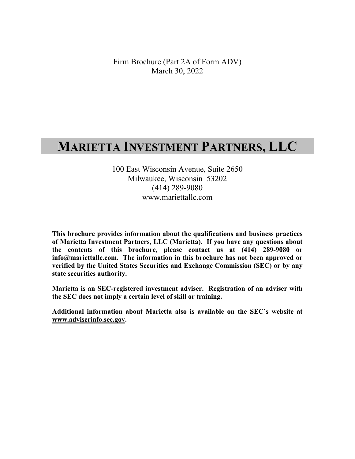Firm Brochure (Part 2A of Form ADV) March 30, 2022

# **MARIETTA INVESTMENT PARTNERS, LLC**

100 East Wisconsin Avenue, Suite 2650 Milwaukee, Wisconsin 53202 (414) 289-9080 www.mariettallc.com

**This brochure provides information about the qualifications and business practices of Marietta Investment Partners, LLC (Marietta). If you have any questions about the contents of this brochure, please contact us at (414) 289-9080 or info@mariettallc.com. The information in this brochure has not been approved or verified by the United States Securities and Exchange Commission (SEC) or by any state securities authority.** 

**Marietta is an SEC-registered investment adviser. Registration of an adviser with the SEC does not imply a certain level of skill or training.** 

**Additional information about Marietta also is available on the SEC's website at www.adviserinfo.sec.gov.**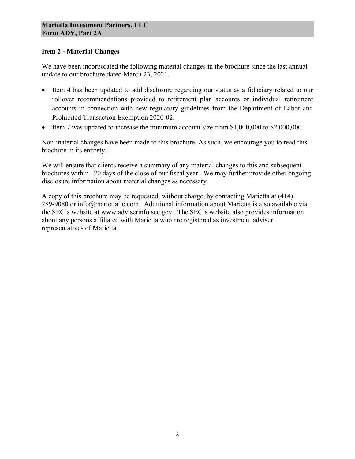### **Item 2 - Material Changes**

We have been incorporated the following material changes in the brochure since the last annual update to our brochure dated March 23, 2021.

- Item 4 has been updated to add disclosure regarding our status as a fiduciary related to our rollover recommendations provided to retirement plan accounts or individual retirement accounts in connection with new regulatory guidelines from the Department of Labor and Prohibited Transaction Exemption 2020-02.
- Item 7 was updated to increase the minimum account size from \$1,000,000 to \$2,000,000.

Non-material changes have been made to this brochure. As such, we encourage you to read this brochure in its entirety.

We will ensure that clients receive a summary of any material changes to this and subsequent brochures within 120 days of the close of our fiscal year. We may further provide other ongoing disclosure information about material changes as necessary.

A copy of this brochure may be requested, without charge, by contacting Marietta at (414) 289-9080 or info@mariettallc.com. Additional information about Marietta is also available via the SEC's website at www.adviserinfo.sec.gov. The SEC's website also provides information about any persons affiliated with Marietta who are registered as investment adviser representatives of Marietta.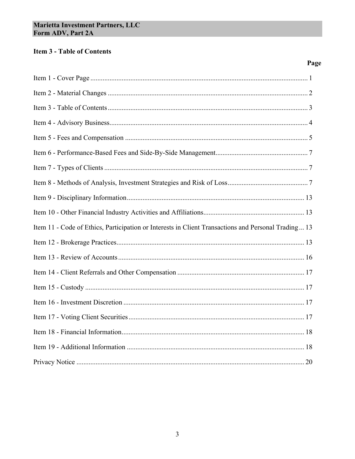# **Item 3 - Table of Contents**

# Page

| Item 11 - Code of Ethics, Participation or Interests in Client Transactions and Personal Trading 13 |
|-----------------------------------------------------------------------------------------------------|
|                                                                                                     |
|                                                                                                     |
|                                                                                                     |
|                                                                                                     |
|                                                                                                     |
|                                                                                                     |
|                                                                                                     |
|                                                                                                     |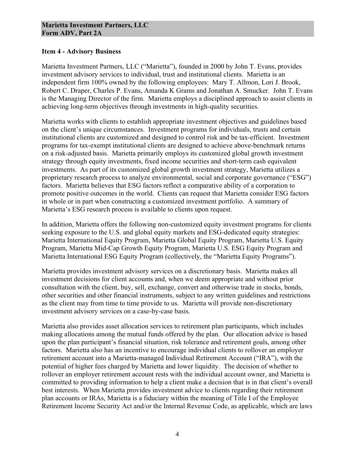#### **Item 4 - Advisory Business**

Marietta Investment Partners, LLC ("Marietta"), founded in 2000 by John T. Evans, provides investment advisory services to individual, trust and institutional clients. Marietta is an independent firm 100% owned by the following employees: Mary T. Allmon, Lori J. Brook, Robert C. Draper, Charles P. Evans, Amanda K Grams and Jonathan A. Smucker. John T. Evans is the Managing Director of the firm. Marietta employs a disciplined approach to assist clients in achieving long-term objectives through investments in high-quality securities.

Marietta works with clients to establish appropriate investment objectives and guidelines based on the client's unique circumstances. Investment programs for individuals, trusts and certain institutional clients are customized and designed to control risk and be tax-efficient. Investment programs for tax-exempt institutional clients are designed to achieve above-benchmark returns on a risk-adjusted basis. Marietta primarily employs its customized global growth investment strategy through equity investments, fixed income securities and short-term cash equivalent investments. As part of its customized global growth investment strategy, Marietta utilizes a proprietary research process to analyze environmental, social and corporate governance ("ESG") factors. Marietta believes that ESG factors reflect a comparative ability of a corporation to promote positive outcomes in the world. Clients can request that Marietta consider ESG factors in whole or in part when constructing a customized investment portfolio. A summary of Marietta's ESG research process is available to clients upon request.

In addition, Marietta offers the following non-customized equity investment programs for clients seeking exposure to the U.S. and global equity markets and ESG-dedicated equity strategies: Marietta International Equity Program, Marietta Global Equity Program, Marietta U.S. Equity Program, Marietta Mid-Cap Growth Equity Program, Marietta U.S. ESG Equity Program and Marietta International ESG Equity Program (collectively, the "Marietta Equity Programs").

Marietta provides investment advisory services on a discretionary basis. Marietta makes all investment decisions for client accounts and, when we deem appropriate and without prior consultation with the client, buy, sell, exchange, convert and otherwise trade in stocks, bonds, other securities and other financial instruments, subject to any written guidelines and restrictions as the client may from time to time provide to us. Marietta will provide non-discretionary investment advisory services on a case-by-case basis.

Marietta also provides asset allocation services to retirement plan participants, which includes making allocations among the mutual funds offered by the plan. Our allocation advice is based upon the plan participant's financial situation, risk tolerance and retirement goals, among other factors. Marietta also has an incentive to encourage individual clients to rollover an employer retirement account into a Marietta-managed Individual Retirement Account ("IRA"), with the potential of higher fees charged by Marietta and lower liquidity. The decision of whether to rollover an employer retirement account rests with the individual account owner, and Marietta is committed to providing information to help a client make a decision that is in that client's overall best interests. When Marietta provides investment advice to clients regarding their retirement plan accounts or IRAs, Marietta is a fiduciary within the meaning of Title I of the Employee Retirement Income Security Act and/or the Internal Revenue Code, as applicable, which are laws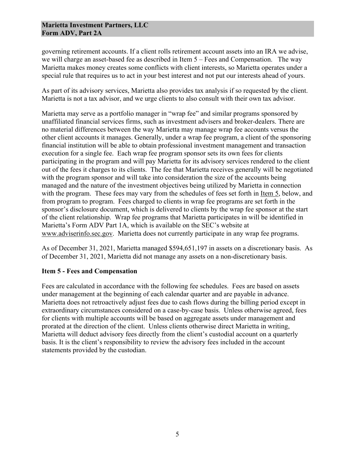governing retirement accounts. If a client rolls retirement account assets into an IRA we advise, we will charge an asset-based fee as described in Item 5 – Fees and Compensation. The way Marietta makes money creates some conflicts with client interests, so Marietta operates under a special rule that requires us to act in your best interest and not put our interests ahead of yours.

As part of its advisory services, Marietta also provides tax analysis if so requested by the client. Marietta is not a tax advisor, and we urge clients to also consult with their own tax advisor.

Marietta may serve as a portfolio manager in "wrap fee" and similar programs sponsored by unaffiliated financial services firms, such as investment advisers and broker-dealers. There are no material differences between the way Marietta may manage wrap fee accounts versus the other client accounts it manages. Generally, under a wrap fee program, a client of the sponsoring financial institution will be able to obtain professional investment management and transaction execution for a single fee. Each wrap fee program sponsor sets its own fees for clients participating in the program and will pay Marietta for its advisory services rendered to the client out of the fees it charges to its clients. The fee that Marietta receives generally will be negotiated with the program sponsor and will take into consideration the size of the accounts being managed and the nature of the investment objectives being utilized by Marietta in connection with the program. These fees may vary from the schedules of fees set forth in Item 5, below, and from program to program. Fees charged to clients in wrap fee programs are set forth in the sponsor's disclosure document, which is delivered to clients by the wrap fee sponsor at the start of the client relationship. Wrap fee programs that Marietta participates in will be identified in Marietta's Form ADV Part 1A, which is available on the SEC's website at www.adviserinfo.sec.gov. Marietta does not currently participate in any wrap fee programs.

As of December 31, 2021, Marietta managed \$594,651,197 in assets on a discretionary basis. As of December 31, 2021, Marietta did not manage any assets on a non-discretionary basis.

# **Item 5 - Fees and Compensation**

Fees are calculated in accordance with the following fee schedules. Fees are based on assets under management at the beginning of each calendar quarter and are payable in advance. Marietta does not retroactively adjust fees due to cash flows during the billing period except in extraordinary circumstances considered on a case-by-case basis. Unless otherwise agreed, fees for clients with multiple accounts will be based on aggregate assets under management and prorated at the direction of the client. Unless clients otherwise direct Marietta in writing, Marietta will deduct advisory fees directly from the client's custodial account on a quarterly basis. It is the client's responsibility to review the advisory fees included in the account statements provided by the custodian.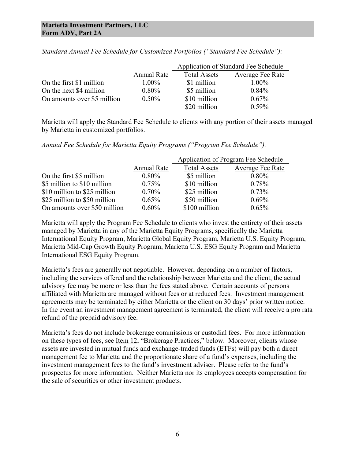|                             |                    | Application of Standard Fee Schedule |                  |
|-----------------------------|--------------------|--------------------------------------|------------------|
|                             | <b>Annual Rate</b> | <b>Total Assets</b>                  | Average Fee Rate |
| On the first \$1 million    | $1.00\%$           | \$1 million                          | $1.00\%$         |
| On the next \$4 million     | $0.80\%$           | \$5 million                          | $0.84\%$         |
| On amounts over \$5 million | $0.50\%$           | \$10 million                         | $0.67\%$         |
|                             |                    | \$20 million                         | $0.59\%$         |

*Standard Annual Fee Schedule for Customized Portfolios ("Standard Fee Schedule"):*

Marietta will apply the Standard Fee Schedule to clients with any portion of their assets managed by Marietta in customized portfolios.

*Annual Fee Schedule for Marietta Equity Programs ("Program Fee Schedule").*

|                              |             | Application of Program Fee Schedule |                  |
|------------------------------|-------------|-------------------------------------|------------------|
|                              | Annual Rate | <b>Total Assets</b>                 | Average Fee Rate |
| On the first \$5 million     | $0.80\%$    | \$5 million                         | $0.80\%$         |
| \$5 million to \$10 million  | $0.75\%$    | \$10 million                        | 0.78%            |
| \$10 million to \$25 million | $0.70\%$    | \$25 million                        | 0.73%            |
| \$25 million to \$50 million | $0.65\%$    | \$50 million                        | $0.69\%$         |
| On amounts over \$50 million | $0.60\%$    | \$100 million                       | 0.65%            |

Marietta will apply the Program Fee Schedule to clients who invest the entirety of their assets managed by Marietta in any of the Marietta Equity Programs, specifically the Marietta International Equity Program, Marietta Global Equity Program, Marietta U.S. Equity Program, Marietta Mid-Cap Growth Equity Program, Marietta U.S. ESG Equity Program and Marietta International ESG Equity Program.

Marietta's fees are generally not negotiable. However, depending on a number of factors, including the services offered and the relationship between Marietta and the client, the actual advisory fee may be more or less than the fees stated above. Certain accounts of persons affiliated with Marietta are managed without fees or at reduced fees. Investment management agreements may be terminated by either Marietta or the client on 30 days' prior written notice. In the event an investment management agreement is terminated, the client will receive a pro rata refund of the prepaid advisory fee.

Marietta's fees do not include brokerage commissions or custodial fees. For more information on these types of fees, see Item 12, "Brokerage Practices," below. Moreover, clients whose assets are invested in mutual funds and exchange-traded funds (ETFs) will pay both a direct management fee to Marietta and the proportionate share of a fund's expenses, including the investment management fees to the fund's investment adviser. Please refer to the fund's prospectus for more information. Neither Marietta nor its employees accepts compensation for the sale of securities or other investment products.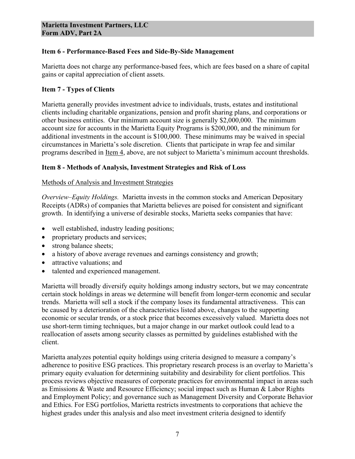# **Item 6 - Performance-Based Fees and Side-By-Side Management**

Marietta does not charge any performance-based fees, which are fees based on a share of capital gains or capital appreciation of client assets.

# **Item 7 - Types of Clients**

Marietta generally provides investment advice to individuals, trusts, estates and institutional clients including charitable organizations, pension and profit sharing plans, and corporations or other business entities. Our minimum account size is generally \$2,000,000. The minimum account size for accounts in the Marietta Equity Programs is \$200,000, and the minimum for additional investments in the account is \$100,000. These minimums may be waived in special circumstances in Marietta's sole discretion. Clients that participate in wrap fee and similar programs described in Item 4, above, are not subject to Marietta's minimum account thresholds.

# **Item 8 - Methods of Analysis, Investment Strategies and Risk of Loss**

# Methods of Analysis and Investment Strategies

*Overview–Equity Holdings.* Marietta invests in the common stocks and American Depositary Receipts (ADRs) of companies that Marietta believes are poised for consistent and significant growth. In identifying a universe of desirable stocks, Marietta seeks companies that have:

- well established, industry leading positions;
- proprietary products and services;
- strong balance sheets;
- a history of above average revenues and earnings consistency and growth;
- attractive valuations: and
- talented and experienced management.

Marietta will broadly diversify equity holdings among industry sectors, but we may concentrate certain stock holdings in areas we determine will benefit from longer-term economic and secular trends. Marietta will sell a stock if the company loses its fundamental attractiveness. This can be caused by a deterioration of the characteristics listed above, changes to the supporting economic or secular trends, or a stock price that becomes excessively valued. Marietta does not use short-term timing techniques, but a major change in our market outlook could lead to a reallocation of assets among security classes as permitted by guidelines established with the client.

Marietta analyzes potential equity holdings using criteria designed to measure a company's adherence to positive ESG practices. This proprietary research process is an overlay to Marietta's primary equity evaluation for determining suitability and desirability for client portfolios. This process reviews objective measures of corporate practices for environmental impact in areas such as Emissions & Waste and Resource Efficiency; social impact such as Human & Labor Rights and Employment Policy; and governance such as Management Diversity and Corporate Behavior and Ethics. For ESG portfolios, Marietta restricts investments to corporations that achieve the highest grades under this analysis and also meet investment criteria designed to identify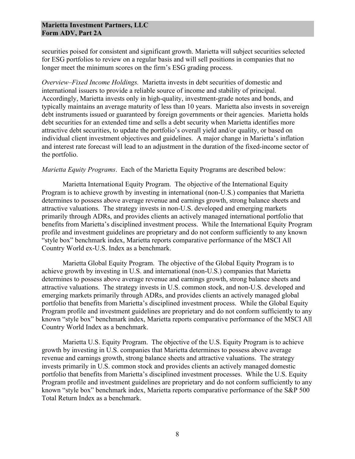securities poised for consistent and significant growth. Marietta will subject securities selected for ESG portfolios to review on a regular basis and will sell positions in companies that no longer meet the minimum scores on the firm's ESG grading process.

*Overview–Fixed Income Holdings.* Marietta invests in debt securities of domestic and international issuers to provide a reliable source of income and stability of principal. Accordingly, Marietta invests only in high-quality, investment-grade notes and bonds, and typically maintains an average maturity of less than 10 years. Marietta also invests in sovereign debt instruments issued or guaranteed by foreign governments or their agencies. Marietta holds debt securities for an extended time and sells a debt security when Marietta identifies more attractive debt securities, to update the portfolio's overall yield and/or quality, or based on individual client investment objectives and guidelines. A major change in Marietta's inflation and interest rate forecast will lead to an adjustment in the duration of the fixed-income sector of the portfolio.

*Marietta Equity Programs*. Each of the Marietta Equity Programs are described below:

Marietta International Equity Program. The objective of the International Equity Program is to achieve growth by investing in international (non-U.S.) companies that Marietta determines to possess above average revenue and earnings growth, strong balance sheets and attractive valuations. The strategy invests in non-U.S. developed and emerging markets primarily through ADRs, and provides clients an actively managed international portfolio that benefits from Marietta's disciplined investment process. While the International Equity Program profile and investment guidelines are proprietary and do not conform sufficiently to any known "style box" benchmark index, Marietta reports comparative performance of the MSCI All Country World ex-U.S. Index as a benchmark.

Marietta Global Equity Program. The objective of the Global Equity Program is to achieve growth by investing in U.S. and international (non-U.S.) companies that Marietta determines to possess above average revenue and earnings growth, strong balance sheets and attractive valuations. The strategy invests in U.S. common stock, and non-U.S. developed and emerging markets primarily through ADRs, and provides clients an actively managed global portfolio that benefits from Marietta's disciplined investment process. While the Global Equity Program profile and investment guidelines are proprietary and do not conform sufficiently to any known "style box" benchmark index, Marietta reports comparative performance of the MSCI All Country World Index as a benchmark.

Marietta U.S. Equity Program. The objective of the U.S. Equity Program is to achieve growth by investing in U.S. companies that Marietta determines to possess above average revenue and earnings growth, strong balance sheets and attractive valuations. The strategy invests primarily in U.S. common stock and provides clients an actively managed domestic portfolio that benefits from Marietta's disciplined investment processes. While the U.S. Equity Program profile and investment guidelines are proprietary and do not conform sufficiently to any known "style box" benchmark index, Marietta reports comparative performance of the S&P 500 Total Return Index as a benchmark.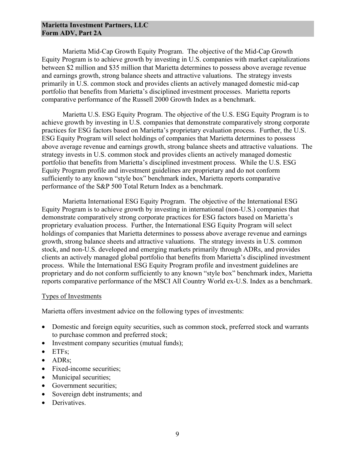Marietta Mid-Cap Growth Equity Program. The objective of the Mid-Cap Growth Equity Program is to achieve growth by investing in U.S. companies with market capitalizations between \$2 million and \$35 million that Marietta determines to possess above average revenue and earnings growth, strong balance sheets and attractive valuations. The strategy invests primarily in U.S. common stock and provides clients an actively managed domestic mid-cap portfolio that benefits from Marietta's disciplined investment processes. Marietta reports comparative performance of the Russell 2000 Growth Index as a benchmark.

Marietta U.S. ESG Equity Program. The objective of the U.S. ESG Equity Program is to achieve growth by investing in U.S. companies that demonstrate comparatively strong corporate practices for ESG factors based on Marietta's proprietary evaluation process. Further, the U.S. ESG Equity Program will select holdings of companies that Marietta determines to possess above average revenue and earnings growth, strong balance sheets and attractive valuations. The strategy invests in U.S. common stock and provides clients an actively managed domestic portfolio that benefits from Marietta's disciplined investment process. While the U.S. ESG Equity Program profile and investment guidelines are proprietary and do not conform sufficiently to any known "style box" benchmark index, Marietta reports comparative performance of the S&P 500 Total Return Index as a benchmark.

Marietta International ESG Equity Program. The objective of the International ESG Equity Program is to achieve growth by investing in international (non-U.S.) companies that demonstrate comparatively strong corporate practices for ESG factors based on Marietta's proprietary evaluation process. Further, the International ESG Equity Program will select holdings of companies that Marietta determines to possess above average revenue and earnings growth, strong balance sheets and attractive valuations. The strategy invests in U.S. common stock, and non-U.S. developed and emerging markets primarily through ADRs, and provides clients an actively managed global portfolio that benefits from Marietta's disciplined investment process. While the International ESG Equity Program profile and investment guidelines are proprietary and do not conform sufficiently to any known "style box" benchmark index, Marietta reports comparative performance of the MSCI All Country World ex-U.S. Index as a benchmark.

#### Types of Investments

Marietta offers investment advice on the following types of investments:

- Domestic and foreign equity securities, such as common stock, preferred stock and warrants to purchase common and preferred stock;
- Investment company securities (mutual funds);
- ETFs:
- ADRs;
- Fixed-income securities;
- Municipal securities;
- Government securities;
- Sovereign debt instruments; and
- Derivatives.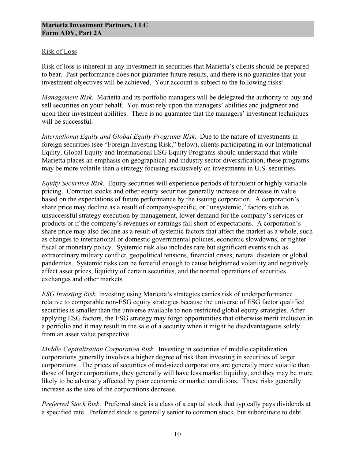### Risk of Loss

Risk of loss is inherent in any investment in securities that Marietta's clients should be prepared to bear. Past performance does not guarantee future results, and there is no guarantee that your investment objectives will be achieved. Your account is subject to the following risks:

*Management Risk*. Marietta and its portfolio managers will be delegated the authority to buy and sell securities on your behalf. You must rely upon the managers' abilities and judgment and upon their investment abilities. There is no guarantee that the managers' investment techniques will be successful.

*International Equity and Global Equity Programs Risk*. Due to the nature of investments in foreign securities (see "Foreign Investing Risk," below), clients participating in our International Equity, Global Equity and International ESG Equity Programs should understand that while Marietta places an emphasis on geographical and industry sector diversification, these programs may be more volatile than a strategy focusing exclusively on investments in U.S. securities.

*Equity Securities Risk*. Equity securities will experience periods of turbulent or highly variable pricing. Common stocks and other equity securities generally increase or decrease in value based on the expectations of future performance by the issuing corporation. A corporation's share price may decline as a result of company-specific, or "unsystemic," factors such as unsuccessful strategy execution by management, lower demand for the company's services or products or if the company's revenues or earnings fall short of expectations. A corporation's share price may also decline as a result of systemic factors that affect the market as a whole, such as changes to international or domestic governmental policies, economic slowdowns, or tighter fiscal or monetary policy. Systemic risk also includes rare but significant events such as extraordinary military conflict, geopolitical tensions, financial crises, natural disasters or global pandemics. Systemic risks can be forceful enough to cause heightened volatility and negatively affect asset prices, liquidity of certain securities, and the normal operations of securities exchanges and other markets.

*ESG Investing Risk.* Investing using Marietta's strategies carries risk of underperformance relative to comparable non-ESG equity strategies because the universe of ESG factor qualified securities is smaller than the universe available to non-restricted global equity strategies. After applying ESG factors, the ESG strategy may forgo opportunities that otherwise merit inclusion in a portfolio and it may result in the sale of a security when it might be disadvantageous solely from an asset value perspective.

*Middle Capitalization Corporation Risk*. Investing in securities of middle capitalization corporations generally involves a higher degree of risk than investing in securities of larger corporations. The prices of securities of mid-sized corporations are generally more volatile than those of larger corporations, they generally will have less market liquidity, and they may be more likely to be adversely affected by poor economic or market conditions. These risks generally increase as the size of the corporations decrease.

*Preferred Stock Risk*. Preferred stock is a class of a capital stock that typically pays dividends at a specified rate. Preferred stock is generally senior to common stock, but subordinate to debt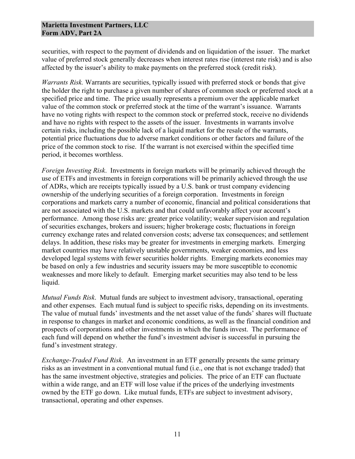securities, with respect to the payment of dividends and on liquidation of the issuer. The market value of preferred stock generally decreases when interest rates rise (interest rate risk) and is also affected by the issuer's ability to make payments on the preferred stock (credit risk).

*Warrants Risk.* Warrants are securities, typically issued with preferred stock or bonds that give the holder the right to purchase a given number of shares of common stock or preferred stock at a specified price and time. The price usually represents a premium over the applicable market value of the common stock or preferred stock at the time of the warrant's issuance. Warrants have no voting rights with respect to the common stock or preferred stock, receive no dividends and have no rights with respect to the assets of the issuer. Investments in warrants involve certain risks, including the possible lack of a liquid market for the resale of the warrants, potential price fluctuations due to adverse market conditions or other factors and failure of the price of the common stock to rise. If the warrant is not exercised within the specified time period, it becomes worthless.

*Foreign Investing Risk*. Investments in foreign markets will be primarily achieved through the use of ETFs and investments in foreign corporations will be primarily achieved through the use of ADRs, which are receipts typically issued by a U.S. bank or trust company evidencing ownership of the underlying securities of a foreign corporation. Investments in foreign corporations and markets carry a number of economic, financial and political considerations that are not associated with the U.S. markets and that could unfavorably affect your account's performance. Among those risks are: greater price volatility; weaker supervision and regulation of securities exchanges, brokers and issuers; higher brokerage costs; fluctuations in foreign currency exchange rates and related conversion costs; adverse tax consequences; and settlement delays. In addition, these risks may be greater for investments in emerging markets. Emerging market countries may have relatively unstable governments, weaker economies, and less developed legal systems with fewer securities holder rights. Emerging markets economies may be based on only a few industries and security issuers may be more susceptible to economic weaknesses and more likely to default. Emerging market securities may also tend to be less liquid.

*Mutual Funds Risk*. Mutual funds are subject to investment advisory, transactional, operating and other expenses. Each mutual fund is subject to specific risks, depending on its investments. The value of mutual funds' investments and the net asset value of the funds' shares will fluctuate in response to changes in market and economic conditions, as well as the financial condition and prospects of corporations and other investments in which the funds invest. The performance of each fund will depend on whether the fund's investment adviser is successful in pursuing the fund's investment strategy.

*Exchange-Traded Fund Risk*. An investment in an ETF generally presents the same primary risks as an investment in a conventional mutual fund (i.e., one that is not exchange traded) that has the same investment objective, strategies and policies. The price of an ETF can fluctuate within a wide range, and an ETF will lose value if the prices of the underlying investments owned by the ETF go down. Like mutual funds, ETFs are subject to investment advisory, transactional, operating and other expenses.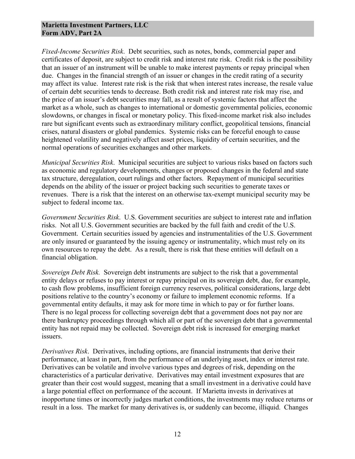*Fixed-Income Securities Risk*. Debt securities, such as notes, bonds, commercial paper and certificates of deposit, are subject to credit risk and interest rate risk. Credit risk is the possibility that an issuer of an instrument will be unable to make interest payments or repay principal when due. Changes in the financial strength of an issuer or changes in the credit rating of a security may affect its value. Interest rate risk is the risk that when interest rates increase, the resale value of certain debt securities tends to decrease. Both credit risk and interest rate risk may rise, and the price of an issuer's debt securities may fall, as a result of systemic factors that affect the market as a whole, such as changes to international or domestic governmental policies, economic slowdowns, or changes in fiscal or monetary policy. This fixed-income market risk also includes rare but significant events such as extraordinary military conflict, geopolitical tensions, financial crises, natural disasters or global pandemics. Systemic risks can be forceful enough to cause heightened volatility and negatively affect asset prices, liquidity of certain securities, and the normal operations of securities exchanges and other markets.

*Municipal Securities Risk*. Municipal securities are subject to various risks based on factors such as economic and regulatory developments, changes or proposed changes in the federal and state tax structure, deregulation, court rulings and other factors. Repayment of municipal securities depends on the ability of the issuer or project backing such securities to generate taxes or revenues. There is a risk that the interest on an otherwise tax-exempt municipal security may be subject to federal income tax.

*Government Securities Risk*. U.S. Government securities are subject to interest rate and inflation risks. Not all U.S. Government securities are backed by the full faith and credit of the U.S. Government. Certain securities issued by agencies and instrumentalities of the U.S. Government are only insured or guaranteed by the issuing agency or instrumentality, which must rely on its own resources to repay the debt. As a result, there is risk that these entities will default on a financial obligation.

*Sovereign Debt Risk.* Sovereign debt instruments are subject to the risk that a governmental entity delays or refuses to pay interest or repay principal on its sovereign debt, due, for example, to cash flow problems, insufficient foreign currency reserves, political considerations, large debt positions relative to the country's economy or failure to implement economic reforms. If a governmental entity defaults, it may ask for more time in which to pay or for further loans. There is no legal process for collecting sovereign debt that a government does not pay nor are there bankruptcy proceedings through which all or part of the sovereign debt that a governmental entity has not repaid may be collected. Sovereign debt risk is increased for emerging market issuers.

*Derivatives Risk*. Derivatives, including options, are financial instruments that derive their performance, at least in part, from the performance of an underlying asset, index or interest rate. Derivatives can be volatile and involve various types and degrees of risk, depending on the characteristics of a particular derivative. Derivatives may entail investment exposures that are greater than their cost would suggest, meaning that a small investment in a derivative could have a large potential effect on performance of the account. If Marietta invests in derivatives at inopportune times or incorrectly judges market conditions, the investments may reduce returns or result in a loss. The market for many derivatives is, or suddenly can become, illiquid. Changes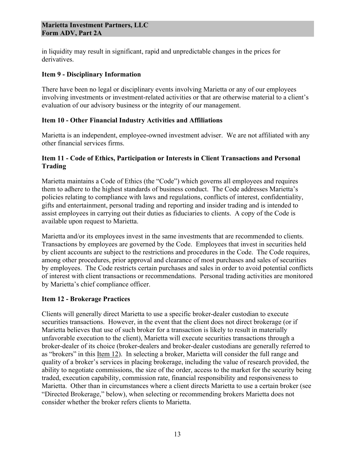in liquidity may result in significant, rapid and unpredictable changes in the prices for derivatives.

#### **Item 9 - Disciplinary Information**

There have been no legal or disciplinary events involving Marietta or any of our employees involving investments or investment-related activities or that are otherwise material to a client's evaluation of our advisory business or the integrity of our management.

# **Item 10 - Other Financial Industry Activities and Affiliations**

Marietta is an independent, employee-owned investment adviser. We are not affiliated with any other financial services firms.

# **Item 11 - Code of Ethics, Participation or Interests in Client Transactions and Personal Trading**

Marietta maintains a Code of Ethics (the "Code") which governs all employees and requires them to adhere to the highest standards of business conduct. The Code addresses Marietta's policies relating to compliance with laws and regulations, conflicts of interest, confidentiality, gifts and entertainment, personal trading and reporting and insider trading and is intended to assist employees in carrying out their duties as fiduciaries to clients. A copy of the Code is available upon request to Marietta.

Marietta and/or its employees invest in the same investments that are recommended to clients. Transactions by employees are governed by the Code. Employees that invest in securities held by client accounts are subject to the restrictions and procedures in the Code. The Code requires, among other procedures, prior approval and clearance of most purchases and sales of securities by employees. The Code restricts certain purchases and sales in order to avoid potential conflicts of interest with client transactions or recommendations. Personal trading activities are monitored by Marietta's chief compliance officer.

# **Item 12 - Brokerage Practices**

Clients will generally direct Marietta to use a specific broker-dealer custodian to execute securities transactions. However, in the event that the client does not direct brokerage (or if Marietta believes that use of such broker for a transaction is likely to result in materially unfavorable execution to the client), Marietta will execute securities transactions through a broker-dealer of its choice (broker-dealers and broker-dealer custodians are generally referred to as "brokers" in this Item 12). In selecting a broker, Marietta will consider the full range and quality of a broker's services in placing brokerage, including the value of research provided, the ability to negotiate commissions, the size of the order, access to the market for the security being traded, execution capability, commission rate, financial responsibility and responsiveness to Marietta. Other than in circumstances where a client directs Marietta to use a certain broker (see "Directed Brokerage," below), when selecting or recommending brokers Marietta does not consider whether the broker refers clients to Marietta.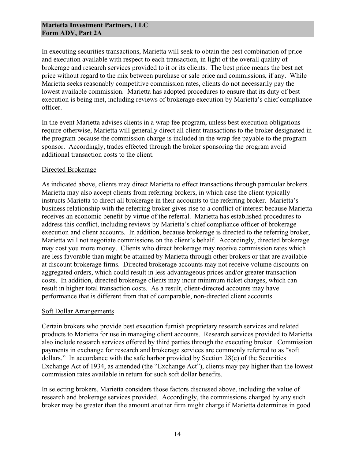In executing securities transactions, Marietta will seek to obtain the best combination of price and execution available with respect to each transaction, in light of the overall quality of brokerage and research services provided to it or its clients. The best price means the best net price without regard to the mix between purchase or sale price and commissions, if any. While Marietta seeks reasonably competitive commission rates, clients do not necessarily pay the lowest available commission. Marietta has adopted procedures to ensure that its duty of best execution is being met, including reviews of brokerage execution by Marietta's chief compliance officer.

In the event Marietta advises clients in a wrap fee program, unless best execution obligations require otherwise, Marietta will generally direct all client transactions to the broker designated in the program because the commission charge is included in the wrap fee payable to the program sponsor. Accordingly, trades effected through the broker sponsoring the program avoid additional transaction costs to the client.

#### Directed Brokerage

As indicated above, clients may direct Marietta to effect transactions through particular brokers. Marietta may also accept clients from referring brokers, in which case the client typically instructs Marietta to direct all brokerage in their accounts to the referring broker. Marietta's business relationship with the referring broker gives rise to a conflict of interest because Marietta receives an economic benefit by virtue of the referral. Marietta has established procedures to address this conflict, including reviews by Marietta's chief compliance officer of brokerage execution and client accounts. In addition, because brokerage is directed to the referring broker, Marietta will not negotiate commissions on the client's behalf. Accordingly, directed brokerage may cost you more money. Clients who direct brokerage may receive commission rates which are less favorable than might be attained by Marietta through other brokers or that are available at discount brokerage firms. Directed brokerage accounts may not receive volume discounts on aggregated orders, which could result in less advantageous prices and/or greater transaction costs. In addition, directed brokerage clients may incur minimum ticket charges, which can result in higher total transaction costs. As a result, client-directed accounts may have performance that is different from that of comparable, non-directed client accounts.

#### Soft Dollar Arrangements

Certain brokers who provide best execution furnish proprietary research services and related products to Marietta for use in managing client accounts. Research services provided to Marietta also include research services offered by third parties through the executing broker. Commission payments in exchange for research and brokerage services are commonly referred to as "soft dollars." In accordance with the safe harbor provided by Section 28(e) of the Securities Exchange Act of 1934, as amended (the "Exchange Act"), clients may pay higher than the lowest commission rates available in return for such soft dollar benefits.

In selecting brokers, Marietta considers those factors discussed above, including the value of research and brokerage services provided. Accordingly, the commissions charged by any such broker may be greater than the amount another firm might charge if Marietta determines in good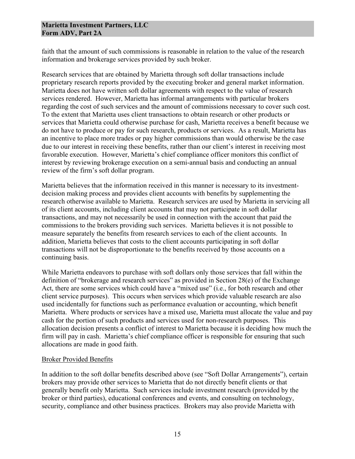faith that the amount of such commissions is reasonable in relation to the value of the research information and brokerage services provided by such broker.

Research services that are obtained by Marietta through soft dollar transactions include proprietary research reports provided by the executing broker and general market information. Marietta does not have written soft dollar agreements with respect to the value of research services rendered. However, Marietta has informal arrangements with particular brokers regarding the cost of such services and the amount of commissions necessary to cover such cost. To the extent that Marietta uses client transactions to obtain research or other products or services that Marietta could otherwise purchase for cash, Marietta receives a benefit because we do not have to produce or pay for such research, products or services. As a result, Marietta has an incentive to place more trades or pay higher commissions than would otherwise be the case due to our interest in receiving these benefits, rather than our client's interest in receiving most favorable execution. However, Marietta's chief compliance officer monitors this conflict of interest by reviewing brokerage execution on a semi-annual basis and conducting an annual review of the firm's soft dollar program.

Marietta believes that the information received in this manner is necessary to its investmentdecision making process and provides client accounts with benefits by supplementing the research otherwise available to Marietta. Research services are used by Marietta in servicing all of its client accounts, including client accounts that may not participate in soft dollar transactions, and may not necessarily be used in connection with the account that paid the commissions to the brokers providing such services. Marietta believes it is not possible to measure separately the benefits from research services to each of the client accounts. In addition, Marietta believes that costs to the client accounts participating in soft dollar transactions will not be disproportionate to the benefits received by those accounts on a continuing basis.

While Marietta endeavors to purchase with soft dollars only those services that fall within the definition of "brokerage and research services" as provided in Section 28(e) of the Exchange Act, there are some services which could have a "mixed use" (i.e., for both research and other client service purposes). This occurs when services which provide valuable research are also used incidentally for functions such as performance evaluation or accounting, which benefit Marietta. Where products or services have a mixed use, Marietta must allocate the value and pay cash for the portion of such products and services used for non-research purposes. This allocation decision presents a conflict of interest to Marietta because it is deciding how much the firm will pay in cash. Marietta's chief compliance officer is responsible for ensuring that such allocations are made in good faith.

#### Broker Provided Benefits

In addition to the soft dollar benefits described above (see "Soft Dollar Arrangements"), certain brokers may provide other services to Marietta that do not directly benefit clients or that generally benefit only Marietta. Such services include investment research (provided by the broker or third parties), educational conferences and events, and consulting on technology, security, compliance and other business practices. Brokers may also provide Marietta with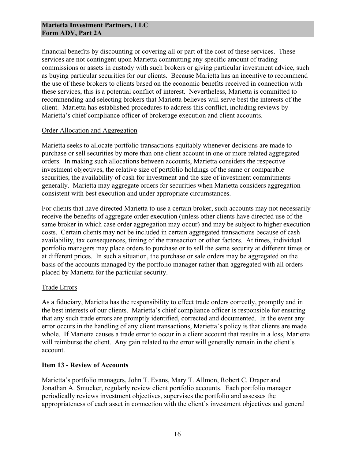financial benefits by discounting or covering all or part of the cost of these services. These services are not contingent upon Marietta committing any specific amount of trading commissions or assets in custody with such brokers or giving particular investment advice, such as buying particular securities for our clients. Because Marietta has an incentive to recommend the use of these brokers to clients based on the economic benefits received in connection with these services, this is a potential conflict of interest. Nevertheless, Marietta is committed to recommending and selecting brokers that Marietta believes will serve best the interests of the client. Marietta has established procedures to address this conflict, including reviews by Marietta's chief compliance officer of brokerage execution and client accounts.

#### Order Allocation and Aggregation

Marietta seeks to allocate portfolio transactions equitably whenever decisions are made to purchase or sell securities by more than one client account in one or more related aggregated orders. In making such allocations between accounts, Marietta considers the respective investment objectives, the relative size of portfolio holdings of the same or comparable securities, the availability of cash for investment and the size of investment commitments generally. Marietta may aggregate orders for securities when Marietta considers aggregation consistent with best execution and under appropriate circumstances.

For clients that have directed Marietta to use a certain broker, such accounts may not necessarily receive the benefits of aggregate order execution (unless other clients have directed use of the same broker in which case order aggregation may occur) and may be subject to higher execution costs. Certain clients may not be included in certain aggregated transactions because of cash availability, tax consequences, timing of the transaction or other factors. At times, individual portfolio managers may place orders to purchase or to sell the same security at different times or at different prices. In such a situation, the purchase or sale orders may be aggregated on the basis of the accounts managed by the portfolio manager rather than aggregated with all orders placed by Marietta for the particular security.

#### Trade Errors

As a fiduciary, Marietta has the responsibility to effect trade orders correctly, promptly and in the best interests of our clients. Marietta's chief compliance officer is responsible for ensuring that any such trade errors are promptly identified, corrected and documented. In the event any error occurs in the handling of any client transactions, Marietta's policy is that clients are made whole. If Marietta causes a trade error to occur in a client account that results in a loss, Marietta will reimburse the client. Any gain related to the error will generally remain in the client's account.

#### **Item 13 - Review of Accounts**

Marietta's portfolio managers, John T. Evans, Mary T. Allmon, Robert C. Draper and Jonathan A. Smucker, regularly review client portfolio accounts. Each portfolio manager periodically reviews investment objectives, supervises the portfolio and assesses the appropriateness of each asset in connection with the client's investment objectives and general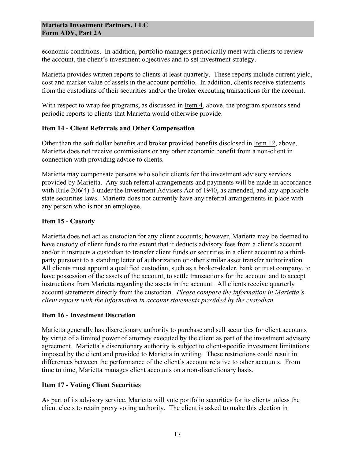economic conditions. In addition, portfolio managers periodically meet with clients to review the account, the client's investment objectives and to set investment strategy.

Marietta provides written reports to clients at least quarterly. These reports include current yield, cost and market value of assets in the account portfolio. In addition, clients receive statements from the custodians of their securities and/or the broker executing transactions for the account.

With respect to wrap fee programs, as discussed in Item 4, above, the program sponsors send periodic reports to clients that Marietta would otherwise provide.

# **Item 14 - Client Referrals and Other Compensation**

Other than the soft dollar benefits and broker provided benefits disclosed in <u>Item 12</u>, above, Marietta does not receive commissions or any other economic benefit from a non-client in connection with providing advice to clients.

Marietta may compensate persons who solicit clients for the investment advisory services provided by Marietta. Any such referral arrangements and payments will be made in accordance with Rule 206(4)-3 under the Investment Advisers Act of 1940, as amended, and any applicable state securities laws. Marietta does not currently have any referral arrangements in place with any person who is not an employee.

# **Item 15 - Custody**

Marietta does not act as custodian for any client accounts; however, Marietta may be deemed to have custody of client funds to the extent that it deducts advisory fees from a client's account and/or it instructs a custodian to transfer client funds or securities in a client account to a thirdparty pursuant to a standing letter of authorization or other similar asset transfer authorization. All clients must appoint a qualified custodian, such as a broker-dealer, bank or trust company, to have possession of the assets of the account, to settle transactions for the account and to accept instructions from Marietta regarding the assets in the account. All clients receive quarterly account statements directly from the custodian. *Please compare the information in Marietta's client reports with the information in account statements provided by the custodian.*

# **Item 16 - Investment Discretion**

Marietta generally has discretionary authority to purchase and sell securities for client accounts by virtue of a limited power of attorney executed by the client as part of the investment advisory agreement. Marietta's discretionary authority is subject to client-specific investment limitations imposed by the client and provided to Marietta in writing. These restrictions could result in differences between the performance of the client's account relative to other accounts. From time to time, Marietta manages client accounts on a non-discretionary basis.

# **Item 17 - Voting Client Securities**

As part of its advisory service, Marietta will vote portfolio securities for its clients unless the client elects to retain proxy voting authority. The client is asked to make this election in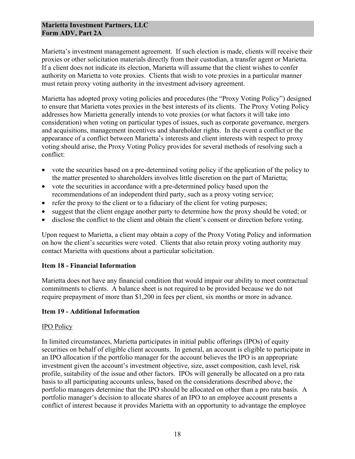Marietta's investment management agreement. If such election is made, clients will receive their proxies or other solicitation materials directly from their custodian, a transfer agent or Marietta. If a client does not indicate its election, Marietta will assume that the client wishes to confer authority on Marietta to vote proxies. Clients that wish to vote proxies in a particular manner must retain proxy voting authority in the investment advisory agreement.

Marietta has adopted proxy voting policies and procedures (the "Proxy Voting Policy") designed to ensure that Marietta votes proxies in the best interests of its clients. The Proxy Voting Policy addresses how Marietta generally intends to vote proxies (or what factors it will take into consideration) when voting on particular types of issues, such as corporate governance, mergers and acquisitions, management incentives and shareholder rights. In the event a conflict or the appearance of a conflict between Marietta's interests and client interests with respect to proxy voting should arise, the Proxy Voting Policy provides for several methods of resolving such a conflict:

- vote the securities based on a pre-determined voting policy if the application of the policy to the matter presented to shareholders involves little discretion on the part of Marietta;
- vote the securities in accordance with a pre-determined policy based upon the recommendations of an independent third party, such as a proxy voting service;
- refer the proxy to the client or to a fiduciary of the client for voting purposes;
- suggest that the client engage another party to determine how the proxy should be voted; or
- disclose the conflict to the client and obtain the client's consent or direction before voting.

Upon request to Marietta, a client may obtain a copy of the Proxy Voting Policy and information on how the client's securities were voted. Clients that also retain proxy voting authority may contact Marietta with questions about a particular solicitation.

# **Item 18 - Financial Information**

Marietta does not have any financial condition that would impair our ability to meet contractual commitments to clients. A balance sheet is not required to be provided because we do not require prepayment of more than \$1,200 in fees per client, six months or more in advance.

#### **Item 19 - Additional Information**

#### IPO Policy

In limited circumstances, Marietta participates in initial public offerings (IPOs) of equity securities on behalf of eligible client accounts. In general, an account is eligible to participate in an IPO allocation if the portfolio manager for the account believes the IPO is an appropriate investment given the account's investment objective, size, asset composition, cash level, risk profile, suitability of the issue and other factors. IPOs will generally be allocated on a pro rata basis to all participating accounts unless, based on the considerations described above, the portfolio managers determine that the IPO should be allocated on other than a pro rata basis. A portfolio manager's decision to allocate shares of an IPO to an employee account presents a conflict of interest because it provides Marietta with an opportunity to advantage the employee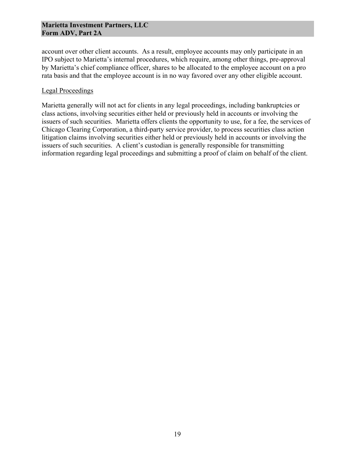account over other client accounts. As a result, employee accounts may only participate in an IPO subject to Marietta's internal procedures, which require, among other things, pre-approval by Marietta's chief compliance officer, shares to be allocated to the employee account on a pro rata basis and that the employee account is in no way favored over any other eligible account.

#### Legal Proceedings

Marietta generally will not act for clients in any legal proceedings, including bankruptcies or class actions, involving securities either held or previously held in accounts or involving the issuers of such securities. Marietta offers clients the opportunity to use, for a fee, the services of Chicago Clearing Corporation, a third-party service provider, to process securities class action litigation claims involving securities either held or previously held in accounts or involving the issuers of such securities. A client's custodian is generally responsible for transmitting information regarding legal proceedings and submitting a proof of claim on behalf of the client.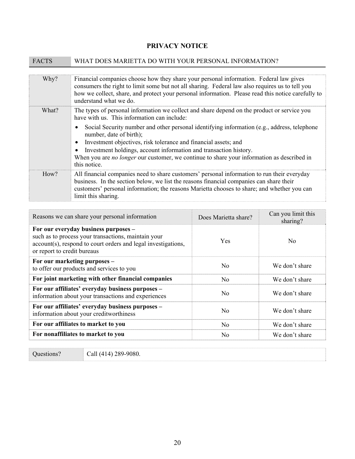# **PRIVACY NOTICE**

| <b>FACTS</b> | WHAT DOES MARIETTA DO WITH YOUR PERSONAL INFORMATION?                                                                                                                                                                                                                                                                                                                                                                                                                                                                      |
|--------------|----------------------------------------------------------------------------------------------------------------------------------------------------------------------------------------------------------------------------------------------------------------------------------------------------------------------------------------------------------------------------------------------------------------------------------------------------------------------------------------------------------------------------|
| Why?         | Financial companies choose how they share your personal information. Federal law gives<br>consumers the right to limit some but not all sharing. Federal law also requires us to tell you<br>how we collect, share, and protect your personal information. Please read this notice carefully to<br>understand what we do.                                                                                                                                                                                                  |
| What?        | The types of personal information we collect and share depend on the product or service you<br>have with us. This information can include:<br>Social Security number and other personal identifying information (e.g., address, telephone<br>number, date of birth);<br>Investment objectives, risk tolerance and financial assets; and<br>Investment holdings, account information and transaction history.<br>When you are no longer our customer, we continue to share your information as described in<br>this notice. |
| How?         | All financial companies need to share customers' personal information to run their everyday<br>business. In the section below, we list the reasons financial companies can share their<br>customers' personal information; the reasons Marietta chooses to share; and whether you can<br>limit this sharing.                                                                                                                                                                                                               |

| Reasons we can share your personal information                                                                                                                                              | Does Marietta share? | Can you limit this<br>sharing? |
|---------------------------------------------------------------------------------------------------------------------------------------------------------------------------------------------|----------------------|--------------------------------|
| For our everyday business purposes -<br>such as to process your transactions, maintain your<br>account(s), respond to court orders and legal investigations,<br>or report to credit bureaus | Yes                  | N <sub>0</sub>                 |
| For our marketing purposes -<br>to offer our products and services to you                                                                                                                   | N <sub>0</sub>       | We don't share                 |
| For joint marketing with other financial companies                                                                                                                                          | N <sub>0</sub>       | We don't share                 |
| For our affiliates' everyday business purposes -<br>information about your transactions and experiences                                                                                     | No                   | We don't share                 |
| For our affiliates' everyday business purposes -<br>information about your creditworthiness                                                                                                 | N <sub>0</sub>       | We don't share                 |
| For our affiliates to market to you                                                                                                                                                         | N <sub>0</sub>       | We don't share                 |
| For nonaffiliates to market to you                                                                                                                                                          | N <sub>0</sub>       | We don't share                 |

Questions? Call (414) 289-9080.